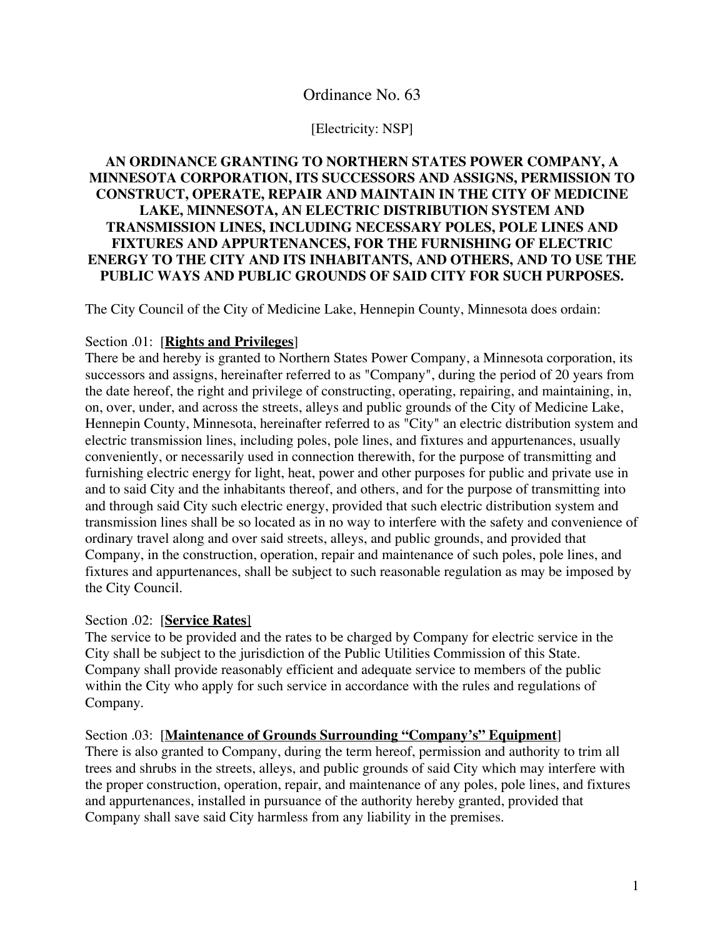## Ordinance No. 63

#### [Electricity: NSP]

## **AN ORDINANCE GRANTING TO NORTHERN STATES POWER COMPANY, A MINNESOTA CORPORATION, ITS SUCCESSORS AND ASSIGNS, PERMISSION TO CONSTRUCT, OPERATE, REPAIR AND MAINTAIN IN THE CITY OF MEDICINE LAKE, MINNESOTA, AN ELECTRIC DISTRIBUTION SYSTEM AND TRANSMISSION LINES, INCLUDING NECESSARY POLES, POLE LINES AND FIXTURES AND APPURTENANCES, FOR THE FURNISHING OF ELECTRIC ENERGY TO THE CITY AND ITS INHABITANTS, AND OTHERS, AND TO USE THE PUBLIC WAYS AND PUBLIC GROUNDS OF SAID CITY FOR SUCH PURPOSES.**

The City Council of the City of Medicine Lake, Hennepin County, Minnesota does ordain:

#### Section .01: [**Rights and Privileges**]

There be and hereby is granted to Northern States Power Company, a Minnesota corporation, its successors and assigns, hereinafter referred to as "Company", during the period of 20 years from the date hereof, the right and privilege of constructing, operating, repairing, and maintaining, in, on, over, under, and across the streets, alleys and public grounds of the City of Medicine Lake, Hennepin County, Minnesota, hereinafter referred to as "City" an electric distribution system and electric transmission lines, including poles, pole lines, and fixtures and appurtenances, usually conveniently, or necessarily used in connection therewith, for the purpose of transmitting and furnishing electric energy for light, heat, power and other purposes for public and private use in and to said City and the inhabitants thereof, and others, and for the purpose of transmitting into and through said City such electric energy, provided that such electric distribution system and transmission lines shall be so located as in no way to interfere with the safety and convenience of ordinary travel along and over said streets, alleys, and public grounds, and provided that Company, in the construction, operation, repair and maintenance of such poles, pole lines, and fixtures and appurtenances, shall be subject to such reasonable regulation as may be imposed by the City Council.

#### Section .02: [**Service Rates**]

The service to be provided and the rates to be charged by Company for electric service in the City shall be subject to the jurisdiction of the Public Utilities Commission of this State. Company shall provide reasonably efficient and adequate service to members of the public within the City who apply for such service in accordance with the rules and regulations of Company.

Section .03: [**Maintenance of Grounds Surrounding "Company's" Equipment**] There is also granted to Company, during the term hereof, permission and authority to trim all trees and shrubs in the streets, alleys, and public grounds of said City which may interfere with the proper construction, operation, repair, and maintenance of any poles, pole lines, and fixtures and appurtenances, installed in pursuance of the authority hereby granted, provided that Company shall save said City harmless from any liability in the premises.